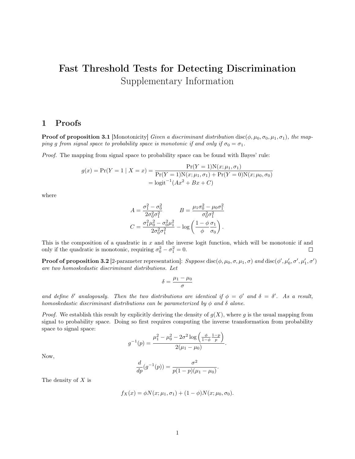## Fast Threshold Tests for Detecting Discrimination Supplementary Information

## <span id="page-0-0"></span>1 Proofs

**Proof of proposition 3.1** [Monotonicity] Given a discriminant distribution disc( $\phi$ ,  $\mu_0$ ,  $\sigma_0$ ,  $\mu_1$ ,  $\sigma_1$ ), the mapping g from signal space to probability space is monotonic if and only if  $\sigma_0 = \sigma_1$ .

Proof. The mapping from signal space to probability space can be found with Bayes' rule:

$$
g(x) = \Pr(Y = 1 | X = x) = \frac{\Pr(Y = 1)N(x; \mu_1, \sigma_1)}{\Pr(Y = 1)N(x; \mu_1, \sigma_1) + \Pr(Y = 0)N(x; \mu_0, \sigma_0)}
$$

$$
= \text{logit}^{-1}(Ax^2 + Bx + C)
$$

where

$$
A = \frac{\sigma_1^2 - \sigma_0^2}{2\sigma_0^2 \sigma_1^2} \qquad B = \frac{\mu_1 \sigma_0^2 - \mu_0 \sigma_1^2}{\sigma_0^2 \sigma_1^2}
$$

$$
C = \frac{\sigma_1^2 \mu_0^2 - \sigma_0^2 \mu_1^2}{2\sigma_0^2 \sigma_1^2} - \log\left(\frac{1 - \phi}{\phi}\frac{\sigma_1}{\sigma_0}\right).
$$

This is the composition of a quadratic in  $x$  and the inverse logit function, which will be monotonic if and only if the quadratic is monotonic, requiring  $\sigma_0^2 - \sigma_1^2 = 0$ .  $\Box$ 

**Proof of proposition 3.2** [2-parameter representation]:  $Suppose\, \text{disc}(\phi, \mu_0, \sigma, \mu_1, \sigma)$  and  $\text{disc}(\phi', \mu'_0, \sigma', \mu'_1, \sigma')$ are two homoskedastic discriminant distributions. Let

$$
\delta = \frac{\mu_1 - \mu_0}{\sigma}
$$

and define  $\delta'$  analogously. Then the two distributions are identical if  $\phi = \phi'$  and  $\delta = \delta'$ . As a result, homoskedastic discriminant distributions can be parameterized by  $\phi$  and  $\delta$  alone.

*Proof.* We establish this result by explicitly deriving the density of  $g(X)$ , where g is the usual mapping from signal to probability space. Doing so first requires computing the inverse transformation from probability space to signal space:

$$
g^{-1}(p) = \frac{\mu_1^2 - \mu_0^2 - 2\sigma^2 \log\left(\frac{\phi}{1-\phi} \frac{1-p}{p}\right)}{2(\mu_1 - \mu_0)}.
$$

Now,

$$
\frac{d}{dp}(g^{-1}(p)) = \frac{\sigma^2}{p(1-p)(\mu_1 - \mu_0)}.
$$

The density of X is

$$
f_X(x) = \phi N(x; \mu_1, \sigma_1) + (1 - \phi) N(x; \mu_0, \sigma_0).
$$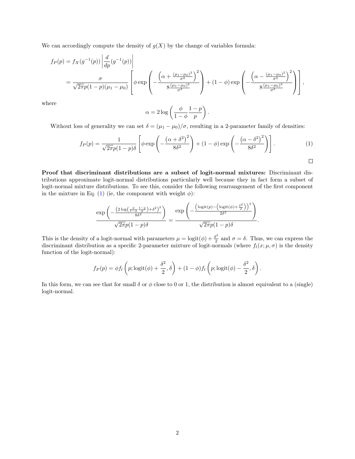We can accordingly compute the density of  $g(X)$  by the change of variables formula:

$$
f_P(p) = f_X(g^{-1}(p)) \left| \frac{d}{dp} (g^{-1}(p)) \right|
$$
  
=  $\frac{\sigma}{\sqrt{2\pi}p(1-p)(\mu_1 - \mu_0)} \left[ \phi \exp \left( -\frac{\left( \alpha + \frac{(\mu_1 - \mu_0)^2}{\sigma^2} \right)^2}{8 \frac{(\mu_1 - \mu_0)^2}{\sigma^2}} \right) + (1 - \phi) \exp \left( -\frac{\left( \alpha - \frac{(\mu_1 - \mu_0)^2}{\sigma^2} \right)^2}{8 \frac{(\mu_1 - \mu_0)^2}{\sigma^2}} \right) \right],$ 

where

$$
\alpha = 2 \log \left( \frac{\phi}{1 - \phi} \frac{1 - p}{p} \right).
$$

Without loss of generality we can set  $\delta = (\mu_1 - \mu_0)/\sigma$ , resulting in a 2-parameter family of densities:

$$
f_P(p) = \frac{1}{\sqrt{2\pi}p(1-p)\delta} \left[ \phi \exp\left(-\frac{\left(\alpha + \delta^2\right)^2}{8\delta^2}\right) + (1-\phi)\exp\left(-\frac{\left(\alpha - \delta^2\right)^2}{8\delta^2}\right) \right].
$$
 (1)

Proof that discriminant distributions are a subset of logit-normal mixtures: Discriminant distributions approximate logit-normal distributions particularly well because they in fact form a subset of logit-normal mixture distributions. To see this, consider the following rearrangement of the first component in the mixture in Eq. [\(1\)](#page-0-0) (ie, the component with weight  $\phi$ ):

$$
\frac{\exp\left(-\frac{\left(2\log\left(\frac{\phi}{1-\phi}\frac{1-p}{p}\right)+\delta^2\right)^2}{8\delta^2}\right)}{\sqrt{2\pi}p(1-p)\delta}=\frac{\exp\left(-\frac{\left(\log\left(\phi\right)-\left(\log\left(\phi\right)+\frac{\delta^2}{2}\right)\right)^2}{2\delta^2}\right)}{\sqrt{2\pi}p(1-p)\delta}.
$$

This is the density of a logit-normal with parameters  $\mu = \text{logit}(\phi) + \frac{\delta^2}{2}$  $\frac{\partial^2}{\partial z}$  and  $\sigma = \delta$ . Thus, we can express the discriminant distribution as a specific 2-parameter mixture of logit-normals (where  $f_l(x; \mu, \sigma)$  is the density function of the logit-normal):

$$
f_P(p) = \phi f_l \left( p; \text{logit}(\phi) + \frac{\delta^2}{2}, \delta \right) + (1 - \phi) f_l \left( p; \text{logit}(\phi) - \frac{\delta^2}{2}, \delta \right).
$$

In this form, we can see that for small  $\delta$  or  $\phi$  close to 0 or 1, the distribution is almost equivalent to a (single) logit-normal.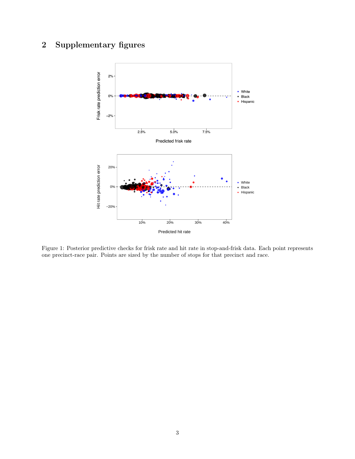## 2 Supplementary figures



Figure 1: Posterior predictive checks for frisk rate and hit rate in stop-and-frisk data. Each point represents one precinct-race pair. Points are sized by the number of stops for that precinct and race.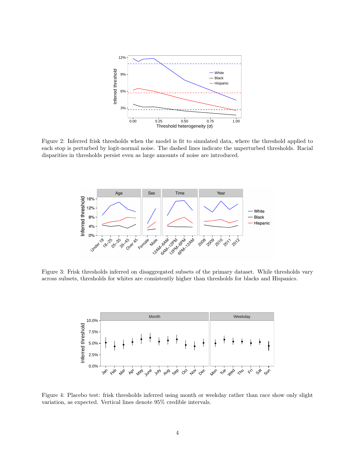

Figure 2: Inferred frisk thresholds when the model is fit to simulated data, where the threshold applied to each stop is perturbed by logit-normal noise. The dashed lines indicate the unperturbed thresholds. Racial disparities in thresholds persist even as large amounts of noise are introduced.



Figure 3: Frisk thresholds inferred on disaggregated subsets of the primary dataset. While thresholds vary across subsets, thresholds for whites are consistently higher than thresholds for blacks and Hispanics.



Figure 4: Placebo test: frisk thresholds inferred using month or weekday rather than race show only slight variation, as expected. Vertical lines denote 95% credible intervals.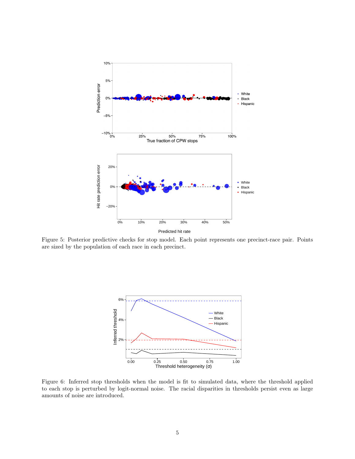

Figure 5: Posterior predictive checks for stop model. Each point represents one precinct-race pair. Points are sized by the population of each race in each precinct.



Figure 6: Inferred stop thresholds when the model is fit to simulated data, where the threshold applied to each stop is perturbed by logit-normal noise. The racial disparities in thresholds persist even as large amounts of noise are introduced.